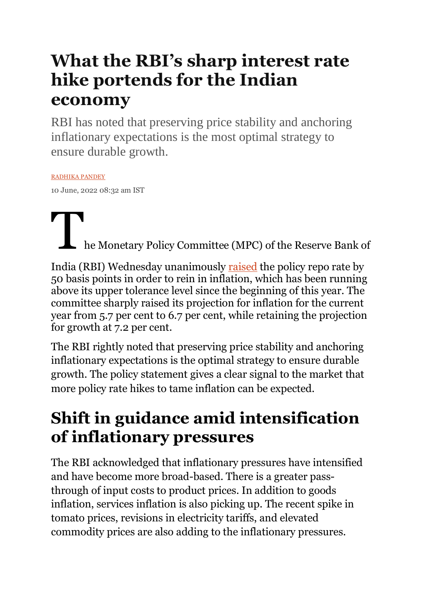# **What the RBI's sharp interest rate hike portends for the Indian economy**

RBI has noted that preserving price stability and anchoring inflationary expectations is the most optimal strategy to ensure durable growth.

#### [RADHIKA PANDEY](https://theprint.in/author/radhika-pandey/)

10 June, 2022 08:32 am IST

he Monetary Policy Committee (MPC) of the Reserve Bank of

India (RBI) Wednesday unanimously [raised](https://www.rbi.org.in/Scripts/BS_PressReleaseDisplay.aspx?prid=53832) the policy repo rate by 50 basis points in order to rein in inflation, which has been running above its upper tolerance level since the beginning of this year. The committee sharply raised its projection for inflation for the current year from 5.7 per cent to 6.7 per cent, while retaining the projection for growth at 7.2 per cent.

The RBI rightly noted that preserving price stability and anchoring inflationary expectations is the optimal strategy to ensure durable growth. The policy statement gives a clear signal to the market that more policy rate hikes to tame inflation can be expected.

# **Shift in guidance amid intensification of inflationary pressures**

The RBI acknowledged that inflationary pressures have intensified and have become more broad-based. There is a greater passthrough of input costs to product prices. In addition to goods inflation, services inflation is also picking up. The recent spike in tomato prices, revisions in electricity tariffs, and elevated commodity prices are also adding to the inflationary pressures.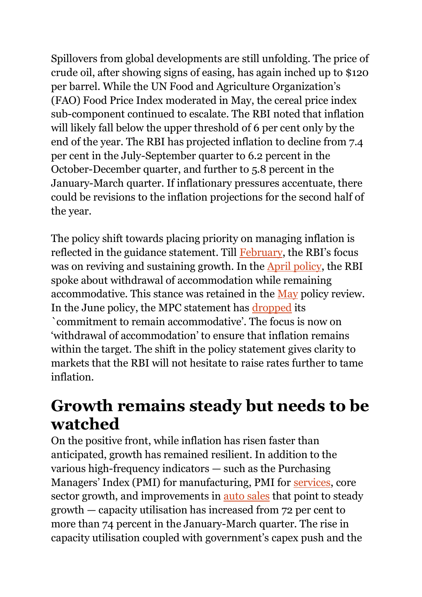Spillovers from global developments are still unfolding. The price of crude oil, after showing signs of easing, has again inched up to \$120 per barrel. While the UN Food and Agriculture Organization's (FAO) Food Price Index moderated in May, the cereal price index sub-component continued to escalate. The RBI noted that inflation will likely fall below the upper threshold of 6 per cent only by the end of the year. The RBI has projected inflation to decline from 7.4 per cent in the July-September quarter to 6.2 percent in the October-December quarter, and further to 5.8 percent in the January-March quarter. If inflationary pressures accentuate, there could be revisions to the inflation projections for the second half of the year.

The policy shift towards placing priority on managing inflation is reflected in the guidance statement. Till [February](https://www.rbi.org.in/Scripts/BS_PressReleaseDisplay.aspx?prid=53247), the RBI's focus was on reviving and sustaining growth. In the [April policy,](https://www.rbi.org.in/Scripts/BS_PressReleaseDisplay.aspx?prid=53537) the RBI spoke about withdrawal of accommodation while remaining accommodative. This stance was retained in the [May](https://rbi.org.in/Scripts/BS_PressReleaseDisplay.aspx?prid=53652) policy review. In the June policy, the MPC statement has [dropped](https://www.rbi.org.in/Scripts/BS_PressReleaseDisplay.aspx?prid=53832) its `commitment to remain accommodative'. The focus is now on 'withdrawal of accommodation' to ensure that inflation remains within the target. The shift in the policy statement gives clarity to markets that the RBI will not hesitate to raise rates further to tame inflation.

#### **Growth remains steady but needs to be watched**

On the positive front, while inflation has risen faster than anticipated, growth has remained resilient. In addition to the various high-frequency indicators — such as the Purchasing Managers' Index (PMI) for manufacturing, PMI for [services,](https://economictimes.indiatimes.com/news/economy/indicators/india-may-services-growth-at-11-year-high-input-inflation-at-record/articleshow/91977067.cms) core sector growth, and improvements in [auto sales](https://auto.economictimes.indiatimes.com/news/industry/auto-sales-in-may-2022-all-segments-move-up-from-the-pandemic-marred-low-base-of-may-2021/91973726) that point to steady growth — capacity utilisation has increased from 72 per cent to more than 74 percent in the January-March quarter. The rise in capacity utilisation coupled with government's capex push and the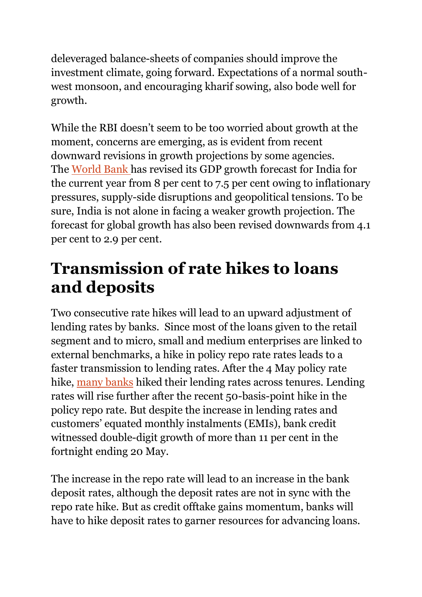deleveraged balance-sheets of companies should improve the investment climate, going forward. Expectations of a normal southwest monsoon, and encouraging kharif sowing, also bode well for growth.

While the RBI doesn't seem to be too worried about growth at the moment, concerns are emerging, as is evident from recent downward revisions in growth projections by some agencies. The [World Bank](https://www.moneycontrol.com/news/business/economy/world-bank-slashes-india-fy23-gdp-growth-forecast-to-7-5-says-global-economy-in-stagflation-danger-8655301.html) has revised its GDP growth forecast for India for the current year from 8 per cent to 7.5 per cent owing to inflationary pressures, supply-side disruptions and geopolitical tensions. To be sure, India is not alone in facing a weaker growth projection. The forecast for global growth has also been revised downwards from 4.1 per cent to 2.9 per cent.

### **Transmission of rate hikes to loans and deposits**

Two consecutive rate hikes will lead to an upward adjustment of lending rates by banks. Since most of the loans given to the retail segment and to micro, small and medium enterprises are linked to external benchmarks, a hike in policy repo rate rates leads to a faster transmission to lending rates. After the 4 May policy rate hike, many [banks](https://www.financialexpress.com/industry/banking-finance/hdfc-bank-hikes-lending-rates-loans-from-indias-largest-private-lender-to-cost-this-much-now-across-tenures/2551073/) hiked their lending rates across tenures. Lending rates will rise further after the recent 50-basis-point hike in the policy repo rate. But despite the increase in lending rates and customers' equated monthly instalments (EMIs), bank credit witnessed double-digit growth of more than 11 per cent in the fortnight ending 20 May.

The increase in the repo rate will lead to an increase in the bank deposit rates, although the deposit rates are not in sync with the repo rate hike. But as credit offtake gains momentum, banks will have to hike deposit rates to garner resources for advancing loans.